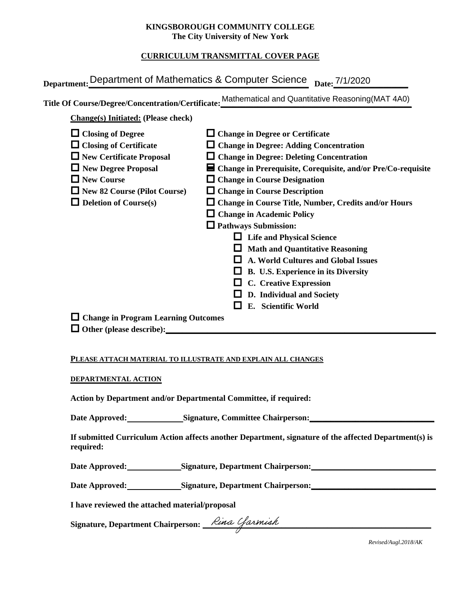### **KINGSBOROUGH COMMUNITY COLLEGE The City University of New York**

# **CURRICULUM TRANSMITTAL COVER PAGE**

|                                                                  | Department: Department of Mathematics & Computer Science Date: 7/1/2020                               |
|------------------------------------------------------------------|-------------------------------------------------------------------------------------------------------|
|                                                                  | Title Of Course/Degree/Concentration/Certificate: Mathematical and Quantitative Reasoning(MAT 4A0)    |
| <b>Change(s)</b> Initiated: (Please check)                       |                                                                                                       |
| $\Box$ Closing of Degree                                         | $\Box$ Change in Degree or Certificate                                                                |
| $\Box$ Closing of Certificate                                    | $\Box$ Change in Degree: Adding Concentration                                                         |
| $\Box$ New Certificate Proposal                                  | $\Box$ Change in Degree: Deleting Concentration                                                       |
| New Degree Proposal                                              | ■ Change in Prerequisite, Corequisite, and/or Pre/Co-requisite                                        |
| New Course                                                       | $\Box$ Change in Course Designation                                                                   |
| New 82 Course (Pilot Course)                                     | $\Box$ Change in Course Description                                                                   |
| $\Box$ Deletion of Course(s)                                     | □ Change in Course Title, Number, Credits and/or Hours                                                |
|                                                                  | $\Box$ Change in Academic Policy                                                                      |
|                                                                  | $\Box$ Pathways Submission:                                                                           |
|                                                                  | $\Box$ Life and Physical Science                                                                      |
|                                                                  | $\Box$ Math and Quantitative Reasoning                                                                |
|                                                                  | $\Box$ A. World Cultures and Global Issues                                                            |
|                                                                  | $\Box$ B. U.S. Experience in its Diversity                                                            |
|                                                                  | $\Box$ C. Creative Expression                                                                         |
|                                                                  | $\Box$ D. Individual and Society                                                                      |
|                                                                  | E. Scientific World                                                                                   |
| $\Box$ Change in Program Learning Outcomes                       |                                                                                                       |
|                                                                  |                                                                                                       |
|                                                                  |                                                                                                       |
| PLEASE ATTACH MATERIAL TO ILLUSTRATE AND EXPLAIN ALL CHANGES     |                                                                                                       |
| DEPARTMENTAL ACTION                                              |                                                                                                       |
| Action by Department and/or Departmental Committee, if required: |                                                                                                       |
| Date Approved: Signature, Committee Chairperson:                 |                                                                                                       |
| required:                                                        | If submitted Curriculum Action affects another Department, signature of the affected Department(s) is |
| Date Annroved:                                                   | Signature Denartment Chairnerson.                                                                     |

#### **PLEASE ATTACH MATERIAL TO ILLUSTRATE AND EXPLAIN ALL CHANGES**

#### **DEPARTMENTAL ACTION**

Date Approved: Signature, Department Chairperson: Network and Date Approved:

Date Approved: Signature, Department Chairperson: Network and Approved: Network and Separature, Department Chairperson:

**I have reviewed the attached material/proposal**

Signature, Department Chairperson: *Lina Cfarmish* 

*Revised/Augl.2018/AK*